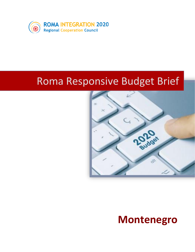

# Roma Responsive Budget Brief



# **Montenegro**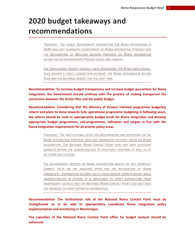## **2020 budget takeaways and recommendations**

*TAKEAWAY: THE VISIBLE GOVERNMENT EXPENDITURE FOR ROMA INTEGRATION IN 2020 DOES NOT GUARANTEE ACHIEVEMENT OF ROMA INTEGRATION STRATEGY AND THE DECLARATION OF WESTERN BALKANS PARTNERS ON ROMA INTEGRATION WITHIN THE EU ENLARGEMENT PROCESS GOALS AND TARGETS.*

*THE EMPLOYMENT AGENCY OPENED A NEW PROGRAMME FOR ROMA EMPLOYMENT, THUS MAKING A DIRECT CONNECTION BETWEEN THE ROMA INTEGRATION ACTION PLAN AND THE NATIONAL BUDGET FOR THE FIRST TIME.*

*Recommendation:* **To increase budget transparency and increase budget guarantees for Roma integration, the Government should continue with the practice of making transparent the connection between the Action Plan and the public budget.** 

**Recommendation: Considering that the Ministry of Finance initiated programme budgeting reform and plans to move towards fully operational programme budgeting in following years, the reform should be used to appropriately budget funds for Roma integration and develop appropriate budget programmes, sub-programmes, indicators and targets in line with the Roma integration requirements for all priority policy areas.**

> *TAKEAWAY: THE INSTITUTIONAL SETUP FOR IMPLEMENTING AND REPORTING ON THE ROMA INTEGRATION STRATEGY DOES NOT GUARANTEE EFFICIENT FOCUS ON ROMA INTEGRATION. THE NATIONAL ROMA CONTACT POINT DOES NOT HAVE SUFFICIENT MANDATE WITHIN THE ADMINISTRATION TO EFFECTIVELY PERFORM ITS ROLE VIS-À-VIS OTHER INSTITUTIONS.*

> *THE GOVERNMENT REPORTS ON ROMA INTEGRATION MOSTLY DO NOT REPRESENT CORRECT FACTS ON THE AMOUNTS SPENT FOR THE INTEGRATION OF ROMA COMMUNITY. EXPENDITURE IN SOME POLICY AREAS REMAIN OVERESTIMATED WHILE UNDERESTIMATED IN OTHERS. IT IS IMPOSSIBLE TO VERIFY EXPENDITURE FROM INDEPENDENT SOURCES AND THE NATIONAL ROMA CONTACT POINT DOES NOT HAVE THE MANDATE TO VERIFY REPORTED INFORMATION.*

**Recommendation: The institutional role of the National Roma Contact Point must be strengthened so to be able to appropriately coordinate Roma integration policy implementation and monitoring in Montenegro.** 

**The capacities of the National Roma Contact Point office for budget analysis should be enhanced.**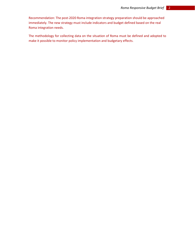Recommendation: The post-2020 Roma integration strategy preparation should be approached immediately. The new strategy must include indicators and budget defined based on the real Roma integration needs.

The methodology for collecting data on the situation of Roma must be defined and adopted to make it possible to monitor policy implementation and budgetary effects.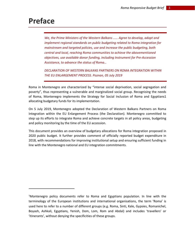### **Preface**

*We, the Prime Ministers of the Western Balkans …… Agree to develop, adopt and implement regional standards on public budgeting related to Roma integration for mainstream and targeted policies, use and increase the public budgeting, both central and local, reaching Roma communities to achieve the abovementioned objectives, use available donor funding, including Instrument for Pre-Accession Assistance, to advance the status of Roma…* 

*DECLARATION OF WESTERN BALKANS PARTNERS ON ROMA INTEGRATION WITHIN THE EU ENLARGEMENT PROCESS. Poznan, 05 July 2019*

Roma in Montenegro are characterized by "intense social deprivation, social segregation and poverty", thus representing a vulnerable and marginalized social group. Recognising the needs of Roma, Montenegro implements the Strategy for Social Inclusion of Roma and Egyptians1 allocating budgetary funds for its implementation.

On 5 July 2019, Montenegro adopted the Declaration of Western Balkans Partners on Roma Integration within the EU Enlargement Process (the Declaration). Montenegro committed to step up its efforts to integrate Roma and achieve concrete targets in all policy areas, budgeting and policy monitoring by the time of the EU accession.

This document provides an overview of budgetary allocations for Roma integration proposed in 2020 public budget. It further provides comment of officially reported budget expenditure in 2018, with recommendations for improving institutional setup and ensuring sufficient funding in line with the Montenegro national and EU integration commitments.

<sup>1</sup>Montenegro policy documents refer to Roma and Egyptians population. In line with the terminology of the European institutions and international organisations, the term 'Roma' is used here to refer to a number of different groups (e.g. Roma, Sinti, Kale, Gypsies, Romanichel, Boyash, Ashkali, Egyptians, Yenish, Dom, Lom, Rom and Abdal) and includes 'travellers' or 'itinerants', without denying the specificities of these groups.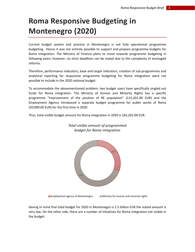## **Roma Responsive Budgeting in Montenegro (2020)**

Current budget system and practice in Montenegro is not fully operational programme budgeting. Hence it was not entirely possible to support and prepare programme budgets for Roma integration. The Ministry of Finance plans to move towards programme budgeting in following years; however, no strict deadlines can be stated due to the complexity of envisaged reforms.

Therefore, performance indicators, base and target indicators, creation of sub-programmes and analytical reporting for responsive programme budgeting for Roma integration were not possible to include in the 2020 national budget.

To accommodate the abovementioned problem, two budget users have specifically singled out funds for Roma integration. The Ministry of Human and Minority Rights has a specific programme "Improvement of the position of RE population" (115,201.00 EUR) and the Employment Agency introduced a separate budget programme for public works of Roma (50,000.00 EUR) for the first time in 2020.

Thus, total visible budget amount for Roma integration in 2020 is 165,201.00 EUR.



#### *Total visible amount of programmed budget for Roma integration*

**Employment agency of Montenegro Ministry for human and minority rights** 

Having in mind that total budget for 2020 in Montenegro is 2.5 billion EUR the stated amount is very low. On the other side, there are a number of initiatives for Roma integration not visible in the budget.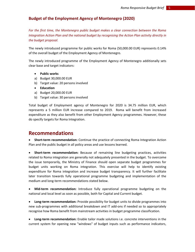#### **Budget of the Employment Agency of Montenegro (2020)**

*For the first time, the Montenegro public budget makes a clear connection between the Roma Integration Action Plan and the national budget by recognising the Action Plan activity directly in the budget proposal.*

The newly introduced programme for public works for Roma (50,000.00 EUR) represents 0.14% of the overall budget of the Employment Agency of Montenegro.

The newly introduced programme of the Employment Agency of Montenegro additionally sets clear base and target indicators:

- **Public works**
- a) Budget 30,000.00 EUR
- b) Target value: 20 persons involved
- **Education**
- a) Budget 20,000.00 EUR
- b) Target value: 30 persons involved

Total budget of Employment agency of Montenegro for 2020 is 34.75 million EUR, which represents a 5 million EUR increase compared to 2019. Roma will benefit from increased expenditure as they also benefit from other Employment Agency programmes. However, these do specify targets for Roma Integration.

#### **Recommendations**

• **Short-term recommendation:** Continue the practice of connecting Roma Integration Action Plan and the public budget in all policy areas and use lessons learned.

• **Short-term recommendation:** Because of remaining line budgeting practices, activities related to Roma integration are generally not adequately presented in the budget. To overcome the issue temporarily, the Ministry of Finance should open separate budget programmes for budget units working on Roma integration. This exercise will help to identify existing expenditure for Roma integration and increase budget transparency. It will further facilitate later transition towards fully operational programme budgeting and implementation of the medium and long-term recommendations stated below.

• **Mid-term recommendation:** Introduce fully operational programme budgeting on the national and local level as soon as possible, both for Capital and Current budget.

• **Long-term recommendation:** Provide possibility for budget units to divide programmes into new sub-programmes with additional breakdown and IT add-ons if needed so to appropriately recognise how Roma benefit from mainstream activities in budget programme classification.

• **Long-term recommendation:** Enable tailor made solutions i.e. concrete interventions in the current system for opening new "windows" of budget inputs such as performance indicators,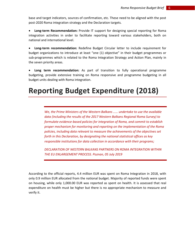base and target indicators, sources of confirmation, etc. These need to be aligned with the post post-2020 Roma integration strategy and the Declaration targets.

• **Long-term Recommendation:** Provide IT support for designing special reporting for Roma integration activities in order to facilitate reporting toward various stakeholders, both on national and international level.

• **Long-term recommendation:** Redefine Budget Circular letter to include requirement for budget organizations to introduce at least "one (1) objective" in their budget programmes or sub-programmes which is related to the Roma Integration Strategy and Action Plan, mainly in the seven priority areas.

• **Long term recommendation:** As part of transition to fully operational programme budgeting, provide extensive training on Roma responsive and programme budgeting in all budget units dealing with Roma integration.

### **Reporting Budget Expenditure (2018)**

*We, the Prime Ministers of the Western Balkans …… undertake to use the available data (including the results of the 2017 Western Balkans Regional Roma Survey) to formulate evidence-based policies for integration of Roma, and commit to establish proper mechanism for monitoring and reporting on the implementation of the Roma policies, including data relevant to measure the achievements of the objectives set forth in this Declaration, by designating the national statistical offices as key responsible institutions for data collection in accordance with their programs;*

*DECLARATION OF WESTERN BALKANS PARTNERS ON ROMA INTEGRATION WITHIN THE EU ENLARGEMENT PROCESS. Poznan, 05 July 2019*

According to the official reports, 4.4 million EUR was spent on Roma Integration in 2018, with only 0.9 million EUR allocated from the national budget. Majority of reported funds were spent on housing, while only 1,000.00 EUR was reported as spent on health. It is assessed that real expenditure on health must be higher but there is no appropriate mechanism to measure and verify it.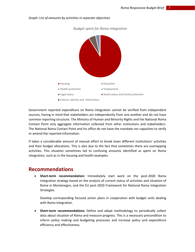

#### *Graph: List of amounts by activities in separate objectives*

Government reported expenditure on Roma integration cannot be verified from independent sources, having in mind that stakeholders act independently from one another and do not have common reporting structure. The Ministry of Human and Minority Rights and the National Roma Contact Point only aggregate information collected from other institutions and stakeholders. The National Roma Contact Point and his office do not have the mandate nor capacities to verify or amend the reported information.

If takes a considerable amount of manual effort to break town different institutions' activities and their budget allocations. This is also due to the fact that sometimes there are overlapping activities. This situation sometimes led to confusing amounts identified as spent on Roma integration, such as in the housing and health examples.

#### **Recommendations**

• **Short-term recommendation:** Immediately start work on the post-2020 Roma integration strategy based on the analysis of current status of activities and situation of Roma in Montenegro, and the EU post-2020 Framework for National Roma Integration Strategies.

Develop corresponding focused action plans in cooperation with budget units dealing with Roma integration.

• **Short-term recommendations:** Define and adopt methodology to periodically collect data about situation of Roma and measure progress. This is a necessary precondition to inform policy making and budgeting processes and increase policy and expenditure efficiency and effectiveness.